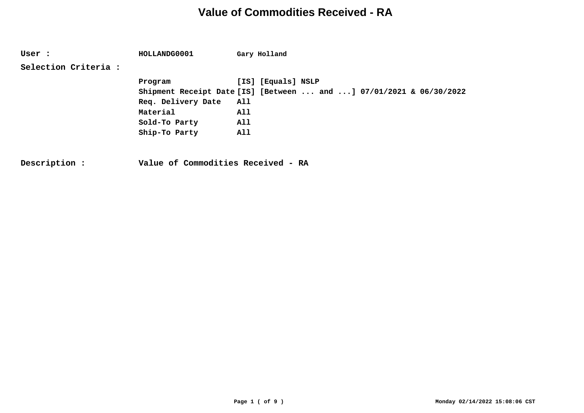**User : HOLLANDG0001 Gary Holland Selection Criteria : Program [IS] [Equals] NSLP Shipment Receipt Date [IS] [Between ... and ...] 07/01/2021 & 06/30/2022 Req. Delivery Date All Material All Sold-To Party All Ship-To Party All**

**Description : Value of Commodities Received - RA**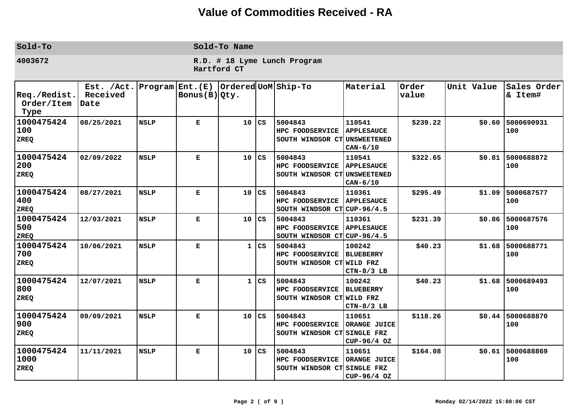| Sold-To                                            |                                |                 |                               | Sold-To Name                                |                        |                                                           |                                                               |                |            |                           |  |  |  |  |
|----------------------------------------------------|--------------------------------|-----------------|-------------------------------|---------------------------------------------|------------------------|-----------------------------------------------------------|---------------------------------------------------------------|----------------|------------|---------------------------|--|--|--|--|
| 4003672                                            |                                |                 |                               | R.D. # 18 Lyme Lunch Program<br>Hartford CT |                        |                                                           |                                                               |                |            |                           |  |  |  |  |
| $ {\tt Req.}/ {\tt Redist.}$<br>Order/Item<br>Type | Est. /Act.<br>Received<br>Date | Program Ent.(E) | $\text{Bonus}(B) \text{Qty.}$ |                                             |                        | Ordered UoM Ship-To                                       | Material                                                      | Order<br>value | Unit Value | Sales Order<br>& Item#    |  |  |  |  |
| 1000475424<br> 100<br>ZREQ                         | 08/25/2021                     | <b>NSLP</b>     | Е                             | 10                                          | CS                     | 5004843<br>HPC FOODSERVICE<br>SOUTH WINDSOR CT            | 110541<br><b>APPLESAUCE</b><br><b>UNSWEETENED</b><br>CAN-6/10 | \$239.22       | \$0.60     | 5000690931<br>100         |  |  |  |  |
| 1000475424<br> 200<br>ZREQ                         | 02/09/2022                     | <b>NSLP</b>     | E                             | 10                                          | CS                     | 5004843<br>HPC FOODSERVICE<br>SOUTH WINDSOR CT            | 110541<br><b>APPLESAUCE</b><br><b>UNSWEETENED</b><br>CAN-6/10 | \$322.65       | \$0.81     | 5000688872<br>100         |  |  |  |  |
| 1000475424<br>400<br><b>ZREQ</b>                   | 08/27/2021                     | <b>NSLP</b>     | Е                             | 10                                          | CS                     | 5004843<br>HPC FOODSERVICE<br>SOUTH WINDSOR CT CUP-96/4.5 | 110361<br><b>APPLESAUCE</b>                                   | \$295.49       | \$1.09     | 5000687577<br>100         |  |  |  |  |
| 1000475424<br>500<br><b>ZREQ</b>                   | 12/03/2021                     | <b>NSLP</b>     | E                             | 10                                          | CS                     | 5004843<br>HPC FOODSERVICE<br>SOUTH WINDSOR CT CUP-96/4.5 | 110361<br><b>APPLESAUCE</b>                                   | \$231.39       | \$0.86     | 5000687576<br>100         |  |  |  |  |
| 1000475424<br>700<br><b>ZREQ</b>                   | 10/06/2021                     | <b>NSLP</b>     | E                             | $\mathbf{1}$                                | CS                     | 5004843<br>HPC FOODSERVICE<br>SOUTH WINDSOR CT WILD FRZ   | 100242<br><b>BLUEBERRY</b><br>$CTN-8/3$ LB                    | \$40.23        | \$1.68     | 5000688771<br>100         |  |  |  |  |
| 1000475424<br>800 <br>ZREQ                         | 12/07/2021                     | <b>NSLP</b>     | Е                             | 1                                           | CS                     | 5004843<br>HPC FOODSERVICE<br>SOUTH WINDSOR CT WILD FRZ   | 100242<br><b>BLUEBERRY</b><br>$CTN-8/3$ LB                    | \$40.23        | \$1.68     | 5000689493<br>100         |  |  |  |  |
| 1000475424<br>900 <br>ZREQ                         | 09/09/2021                     | <b>NSLP</b>     | Е                             | 10                                          | CS                     | 5004843<br>HPC FOODSERVICE<br>SOUTH WINDSOR CT            | 110651<br>ORANGE JUICE<br>SINGLE FRZ<br>CUP-96/4 OZ           | \$118.26       |            | $$0.44$ 5000688870<br>100 |  |  |  |  |
| 1000475424<br>1000 <br><b>ZREQ</b>                 | 11/11/2021                     | <b>NSLP</b>     | E                             | 10                                          | $\mathbf{c}\mathbf{s}$ | 5004843<br>HPC FOODSERVICE<br>SOUTH WINDSOR CT SINGLE FRZ | 110651<br>ORANGE JUICE<br>CUP-96/4 OZ                         | \$164.08       | \$0.61     | 5000688869<br>100         |  |  |  |  |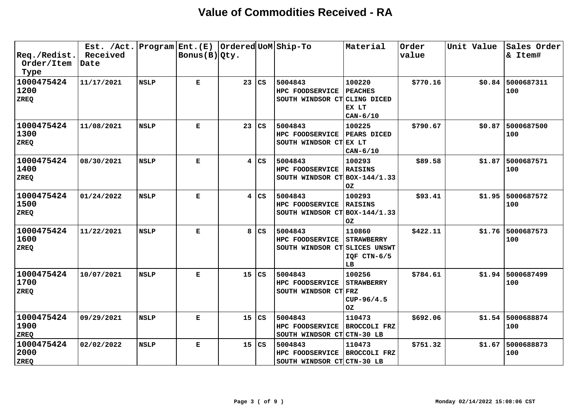| $ {\tt Req.}/ {\tt Redist.}$<br>Order/Item<br>Type | Est. /Act.<br>Received<br>Date |             | Program Ent.(E)  Ordered UoM Ship-To<br>$\vert$ Bonus(B) $\vert$ Qty. |                         |                        |                                                                | Material                                                         | Order<br>value | Unit Value | Sales Order<br>& Item#    |
|----------------------------------------------------|--------------------------------|-------------|-----------------------------------------------------------------------|-------------------------|------------------------|----------------------------------------------------------------|------------------------------------------------------------------|----------------|------------|---------------------------|
| 1000475424<br>1200<br>ZREQ                         | 11/17/2021                     | <b>NSLP</b> | Е                                                                     | 23                      | $\overline{\text{cs}}$ | 5004843<br>HPC FOODSERVICE<br>SOUTH WINDSOR CT CLING DICED     | 100220<br><b>PEACHES</b><br>EX LT<br>$CAN-6/10$                  | \$770.16       | \$0.84     | 5000687311<br>100         |
| 1000475424<br>1300<br>ZREQ                         | 11/08/2021                     | <b>NSLP</b> | $\mathbf{E}$                                                          | 23                      | CS                     | 5004843<br>HPC FOODSERVICE<br>SOUTH WINDSOR CT EX LT           | 100225<br><b>PEARS DICED</b><br>$CAN-6/10$                       | \$790.67       | \$0.87     | 5000687500<br>100         |
| 1000475424<br>1400<br>ZREQ                         | 08/30/2021                     | <b>NSLP</b> | Е                                                                     | $\overline{\mathbf{4}}$ | l CS                   | 5004843<br>HPC FOODSERVICE<br>SOUTH WINDSOR $CT $ BOX-144/1.33 | 100293<br><b>RAISINS</b><br>OZ.                                  | \$89.58        | \$1.87     | 5000687571<br>100         |
| 1000475424<br>1500<br>ZREQ                         | 01/24/2022                     | <b>NSLP</b> | Е                                                                     | 4                       | l cs                   | 5004843<br>HPC FOODSERVICE<br>SOUTH WINDSOR CT BOX-144/1.33    | 100293<br><b>RAISINS</b><br>OZ.                                  | \$93.41        | \$1.95     | 5000687572<br>100         |
| 1000475424<br>1600<br>ZREQ                         | 11/22/2021                     | <b>NSLP</b> | Е                                                                     | 8                       | l cs                   | 5004843<br>HPC FOODSERVICE<br>SOUTH WINDSOR CT                 | 110860<br><b>STRAWBERRY</b><br>SLICES UNSWT<br>IQF CTN-6/5<br>LB | \$422.11       | \$1.76     | 5000687573<br>100         |
| 1000475424<br>1700<br>ZREQ                         | 10/07/2021                     | <b>NSLP</b> | Е                                                                     | 15                      | CS                     | 5004843<br>HPC FOODSERVICE<br>SOUTH WINDSOR CT FRZ             | 100256<br><b>STRAWBERRY</b><br>CUP-96/4.5<br>OZ.                 | \$784.61       | \$1.94     | 5000687499<br>100         |
| 1000475424<br>1900 <br>ZREQ                        | 09/29/2021                     | <b>NSLP</b> | Е                                                                     | 15                      | $\overline{\text{cs}}$ | 5004843<br>HPC FOODSERVICE<br>SOUTH WINDSOR CT                 | 110473<br><b>BROCCOLI FRZ</b><br>CTN-30 LB                       | \$692.06       | \$1.54     | 5000688874<br>100         |
| 1000475424<br>2000 <br>ZREQ                        | 02/02/2022                     | <b>NSLP</b> | Е                                                                     | 15                      | l cs                   | 5004843<br>HPC FOODSERVICE<br>SOUTH WINDSOR CT CTN-30 LB       | 110473<br><b>BROCCOLI FRZ</b>                                    | \$751.32       |            | $$1.67$ 5000688873<br>100 |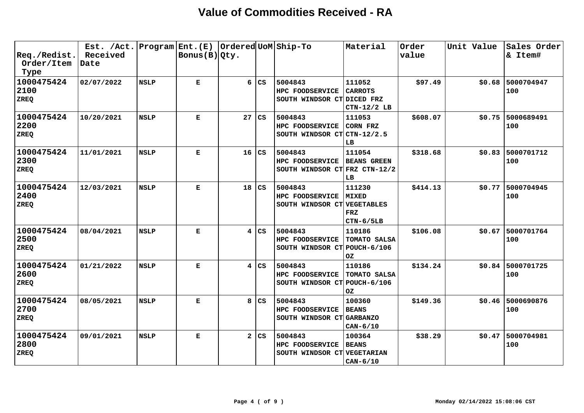| $ {\tt Req./Redist.} $<br>Order/Item<br>Type | Est. /Act.<br>Received<br>Date |             | Program Ent. (E)   Ordered UoM Ship-To<br>$\vert$ Bonus(B) $\vert$ Qty. |                         |           |                                                             | Material                                            | Order<br>value | Unit Value | Sales Order<br>& Item#    |
|----------------------------------------------|--------------------------------|-------------|-------------------------------------------------------------------------|-------------------------|-----------|-------------------------------------------------------------|-----------------------------------------------------|----------------|------------|---------------------------|
| 1000475424<br> 2100<br>ZREQ                  | 02/07/2022                     | <b>NSLP</b> | E                                                                       | 6                       | l cs      | 5004843<br>HPC FOODSERVICE<br>SOUTH WINDSOR CT DICED FRZ    | 111052<br><b>CARROTS</b><br>CTN-12/2 LB             | \$97.49        | \$0.68     | 5000704947<br>100         |
| 1000475424<br>2200<br>ZREQ                   | 10/20/2021                     | <b>NSLP</b> | Е                                                                       | 27                      | l cs      | 5004843<br>HPC FOODSERVICE<br>SOUTH WINDSOR CT CTN-12/2.5   | 111053<br>CORN FRZ<br>LB                            | \$608.07       | \$0.75     | 5000689491<br>100         |
| 1000475424<br>2300<br>ZREQ                   | 11/01/2021                     | <b>NSLP</b> | Е                                                                       | 16                      | <b>CS</b> | 5004843<br>HPC FOODSERVICE<br>SOUTH WINDSOR CT FRZ CTN-12/2 | 111054<br><b>BEANS GREEN</b><br>LB                  | \$318.68       | \$0.83     | 5000701712<br>100         |
| 1000475424<br>2400<br>ZREQ                   | 12/03/2021                     | <b>NSLP</b> | Е                                                                       | 18                      | CS        | 5004843<br>HPC FOODSERVICE<br>SOUTH WINDSOR CT VEGETABLES   | 111230<br><b>MIXED</b><br><b>FRZ</b><br>$CTN-6/5LB$ | \$414.13       | \$0.77     | 5000704945<br>100         |
| 1000475424<br>2500<br>ZREQ                   | 08/04/2021                     | <b>NSLP</b> | Е                                                                       | 4                       | cs        | 5004843<br>HPC FOODSERVICE<br>SOUTH WINDSOR CT POUCH-6/106  | 110186<br>TOMATO SALSA<br>0Z                        | \$106.08       | \$0.67     | 5000701764<br>100         |
| 1000475424<br>2600<br><b>ZREQ</b>            | 01/21/2022                     | <b>NSLP</b> | Е                                                                       | $\overline{\mathbf{4}}$ | l CS      | 5004843<br>HPC FOODSERVICE<br>SOUTH WINDSOR CT POUCH-6/106  | 110186<br>TOMATO SALSA<br>OZ                        | \$134.24       |            | $$0.84$ 5000701725<br>100 |
| 1000475424<br>2700<br><b>ZREQ</b>            | 08/05/2021                     | <b>NSLP</b> | Е                                                                       | 8                       | l cs      | 5004843<br>HPC FOODSERVICE<br>SOUTH WINDSOR CT GARBANZO     | 100360<br><b>BEANS</b><br>$CAN-6/10$                | \$149.36       | \$0.46     | 5000690876<br>100         |
| 1000475424<br> 2800<br>ZREQ                  | 09/01/2021                     | <b>NSLP</b> | Е                                                                       | $\mathbf{2}$            | <b>CS</b> | 5004843<br>HPC FOODSERVICE<br>SOUTH WINDSOR CT VEGETARIAN   | 100364<br><b>BEANS</b><br>$CAN-6/10$                | \$38.29        | \$0.47     | 5000704981<br>100         |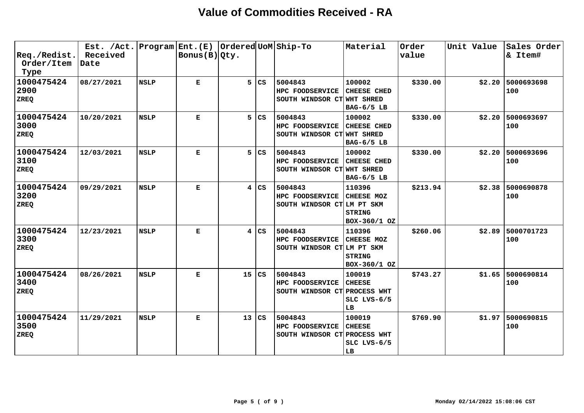| $ {\tt Req.}/ {\tt Redist.}$<br>Order/Item<br>Type | Est. / Act.<br>Received<br>Date |             | Program Ent.(E)<br>Bonus (B) Qty. |    |                        | Ordered UoM Ship-To                                        | Material                                              | Order<br>value | Unit Value | Sales Order<br>& Item# |
|----------------------------------------------------|---------------------------------|-------------|-----------------------------------|----|------------------------|------------------------------------------------------------|-------------------------------------------------------|----------------|------------|------------------------|
| 1000475424<br>2900<br>ZREQ                         | 08/27/2021                      | <b>NSLP</b> | Е                                 | 5  | l cs                   | 5004843<br>HPC FOODSERVICE<br>SOUTH WINDSOR CT WHT SHRED   | 100002<br><b>CHEESE CHED</b><br>BAG-6/5 LB            | \$330.00       | \$2.20     | 5000693698<br>100      |
| 1000475424<br>3000<br><b>ZREQ</b>                  | 10/20/2021                      | <b>NSLP</b> | $\mathbf E$                       | 5  | $\overline{\text{cs}}$ | 5004843<br>HPC FOODSERVICE<br>SOUTH WINDSOR CT WHT SHRED   | 100002<br>CHEESE CHED<br>BAG-6/5 LB                   | \$330.00       | \$2.20     | 5000693697<br>100      |
| 1000475424<br>3100<br>ZREQ                         | 12/03/2021                      | <b>NSLP</b> | Е                                 | 5  | $\overline{\text{cs}}$ | 5004843<br>HPC FOODSERVICE<br>SOUTH WINDSOR CT WHT SHRED   | 100002<br><b>CHEESE CHED</b><br>BAG-6/5 LB            | \$330.00       | \$2.20     | 5000693696<br>100      |
| 1000475424<br>3200<br>ZREQ                         | 09/29/2021                      | <b>NSLP</b> | Е                                 | 4  | l cs                   | 5004843<br>HPC FOODSERVICE<br>SOUTH WINDSOR CTLM PT SKM    | 110396<br>CHEESE MOZ<br><b>STRING</b><br>BOX-360/1 OZ | \$213.94       | \$2.38     | 5000690878<br>100      |
| 1000475424<br>3300<br><b>ZREQ</b>                  | 12/23/2021                      | <b>NSLP</b> | Е                                 | 4  | l cs                   | 5004843<br>HPC FOODSERVICE<br>SOUTH WINDSOR CTLM PT SKM    | 110396<br>CHEESE MOZ<br><b>STRING</b><br>BOX-360/1 OZ | \$260.06       | \$2.89     | 5000701723<br>100      |
| 1000475424<br>3400<br>ZREQ                         | 08/26/2021                      | <b>NSLP</b> | Е                                 | 15 | <b>CS</b>              | 5004843<br>HPC FOODSERVICE<br>SOUTH WINDSOR CT PROCESS WHT | 100019<br><b>CHEESE</b><br>SLC LVS-6/5<br>LB          | \$743.27       | \$1.65     | 5000690814<br>100      |
| 1000475424<br>3500<br>ZREQ                         | 11/29/2021                      | <b>NSLP</b> | Е                                 | 13 | <b>CS</b>              | 5004843<br>HPC FOODSERVICE<br>SOUTH WINDSOR CT PROCESS WHT | 100019<br><b>CHEESE</b><br>$SLC$ $LVS-6/5$<br>LB      | \$769.90       | \$1.97     | 5000690815<br>100      |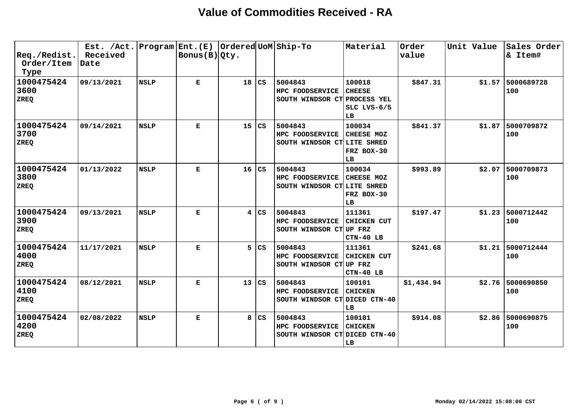| $ $ Req./Redist.<br>Order/Item<br>Type | Est. /Act.<br>Received<br>Date | Program Ent. (E) | Bonus(B) Qty. |    |                        | Ordered UoM Ship-To                                         | Material                                     | Order<br>value | Unit Value | Sales Order<br>& Item#    |
|----------------------------------------|--------------------------------|------------------|---------------|----|------------------------|-------------------------------------------------------------|----------------------------------------------|----------------|------------|---------------------------|
| 1000475424<br>3600<br><b>ZREQ</b>      | 09/13/2021                     | <b>NSLP</b>      | Е             | 18 | CS                     | 5004843<br>HPC FOODSERVICE<br>SOUTH WINDSOR CT PROCESS YEL  | 100018<br><b>CHEESE</b><br>SLC LVS-6/5<br>LB | \$847.31       |            | $$1.57$ 5000689728<br>100 |
| 1000475424<br>3700<br><b>ZREQ</b>      | 09/14/2021                     | <b>NSLP</b>      | Е             | 15 | $\mathbf{C}\mathbf{S}$ | 5004843<br>HPC FOODSERVICE<br>SOUTH WINDSOR CT LITE SHRED   | 100034<br>CHEESE MOZ<br>FRZ BOX-30<br>LB     | \$841.37       | \$1.87     | 5000709872<br>100         |
| 1000475424<br>3800<br><b>ZREQ</b>      | 01/13/2022                     | <b>NSLP</b>      | Е             | 16 | $\mathbf{c}\mathbf{s}$ | 5004843<br>HPC FOODSERVICE<br>SOUTH WINDSOR CT LITE SHRED   | 100034<br>CHEESE MOZ<br>FRZ BOX-30<br>LB     | \$993.89       |            | \$2.07 5000709873<br>100  |
| 1000475424<br>3900<br><b>ZREQ</b>      | 09/13/2021                     | <b>NSLP</b>      | Е             | 4  | l cs                   | 5004843<br>HPC FOODSERVICE<br>SOUTH WINDSOR CTUDP FRZ       | 111361<br><b>CHICKEN CUT</b><br>CTN-40 LB    | \$197.47       | \$1.23     | 5000712442<br>100         |
| 1000475424<br>4000<br>ZREQ             | 11/17/2021                     | <b>NSLP</b>      | Е             | 5  | CS                     | 5004843<br><b>HPC FOODSERVICE</b><br>SOUTH WINDSOR CTUP FRZ | 111361<br><b>CHICKEN CUT</b><br>CTN-40 LB    | \$241.68       | \$1.21     | 5000712444<br>100         |
| 1000475424<br>4100<br>ZREQ             | 08/12/2021                     | <b>NSLP</b>      | Е             | 13 | CS                     | 5004843<br>HPC FOODSERVICE<br>SOUTH WINDSOR CT DICED CTN-40 | 100101<br><b>CHICKEN</b><br>LB               | \$1,434.94     |            | \$2.76 5000690850<br>100  |
| 1000475424<br>4200<br>ZREQ             | 02/08/2022                     | <b>NSLP</b>      | Е             | 8  | CS                     | 5004843<br>HPC FOODSERVICE<br>SOUTH WINDSOR CT DICED CTN-40 | 100101<br><b>CHICKEN</b><br>LB               | \$914.08       | \$2.86     | 5000690875<br>100         |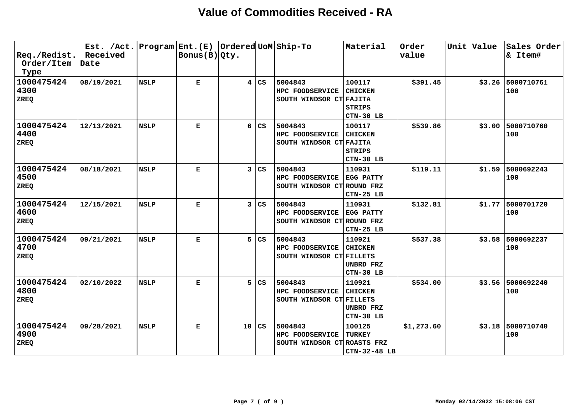| $ {\tt Req.}/ {\tt Redist.}$<br>Order/Item<br>Type | Est. /Act.<br>Received<br>Date |             | Program Ent.(E)  Ordered UoM Ship-To<br>$\vert$ Bonus(B) $\vert$ Qty. |    |                        |                                                           | Material                                               | Order<br>value | Unit Value | Sales Order<br>& Item# |
|----------------------------------------------------|--------------------------------|-------------|-----------------------------------------------------------------------|----|------------------------|-----------------------------------------------------------|--------------------------------------------------------|----------------|------------|------------------------|
| 1000475424<br>4300<br><b>ZREQ</b>                  | 08/19/2021                     | <b>NSLP</b> | Е                                                                     | 4  | lcs                    | 5004843<br>HPC FOODSERVICE<br>SOUTH WINDSOR CT FAJITA     | 100117<br><b>CHICKEN</b><br><b>STRIPS</b><br>CTN-30 LB | \$391.45       | \$3.26     | 5000710761<br>100      |
| 1000475424<br>4400<br>ZREQ                         | 12/13/2021                     | <b>NSLP</b> | Е                                                                     | 6  | <b>CS</b>              | 5004843<br>HPC FOODSERVICE<br>SOUTH WINDSOR CT FAJITA     | 100117<br><b>CHICKEN</b><br><b>STRIPS</b><br>CTN-30 LB | \$539.86       | \$3.00     | 5000710760<br>100      |
| 1000475424<br>4500<br>ZREQ                         | 08/18/2021                     | <b>NSLP</b> | $\mathbf E$                                                           | 3  | $\mathbf{C}\mathbf{S}$ | 5004843<br>HPC FOODSERVICE<br>SOUTH WINDSOR CT ROUND FRZ  | 110931<br><b>EGG PATTY</b><br>CTN-25 LB                | \$119.11       | \$1.59     | 5000692243<br>100      |
| 1000475424<br>4600<br><b>ZREQ</b>                  | 12/15/2021                     | <b>NSLP</b> | Е                                                                     | 3  | cs                     | 5004843<br>HPC FOODSERVICE<br>SOUTH WINDSOR CT ROUND FRZ  | 110931<br>EGG PATTY<br>CTN-25 LB                       | \$132.81       | \$1.77     | 5000701720<br>100      |
| 1000475424<br>4700<br><b>ZREQ</b>                  | 09/21/2021                     | <b>NSLP</b> | Е                                                                     | 5  | l cs                   | 5004843<br>HPC FOODSERVICE<br>SOUTH WINDSOR CT FILLETS    | 110921<br><b>CHICKEN</b><br>UNBRD FRZ<br>CTN-30 LB     | \$537.38       | \$3.58     | 5000692237<br>100      |
| 1000475424<br>4800<br>ZREQ                         | 02/10/2022                     | <b>NSLP</b> | Е                                                                     | 5  | $\overline{\text{cs}}$ | 5004843<br>HPC FOODSERVICE<br>SOUTH WINDSOR CT FILLETS    | 110921<br><b>CHICKEN</b><br>UNBRD FRZ<br>CTN-30 LB     | \$534.00       | \$3.56     | 5000692240<br>100      |
| 1000475424<br>4900 <br>ZREQ                        | 09/28/2021                     | <b>NSLP</b> | Е                                                                     | 10 | $\overline{\text{cs}}$ | 5004843<br>HPC FOODSERVICE<br>SOUTH WINDSOR CT ROASTS FRZ | 100125<br><b>TURKEY</b><br>CTN-32-48 LB                | \$1,273.60     | \$3.18     | 5000710740<br>100      |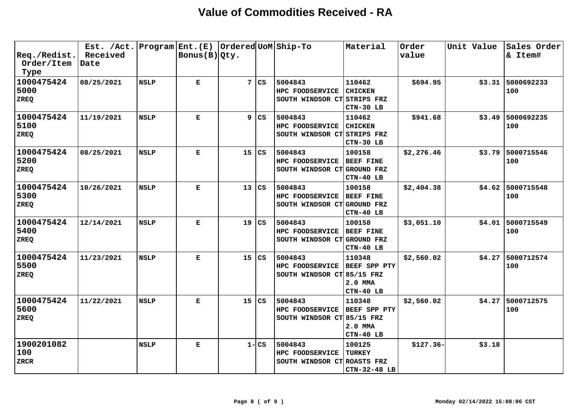| $ {\tt Req./Redist.} $<br>Order/Item<br>Type | Est. /Act.<br>Received<br>Date | Program Ent. (E) | Bonus $(B) Qty.$ |    |                        | Ordered UoM Ship-To                                               | Material                                                     | Order<br>value | Unit Value | Sales Order<br>& Item#    |
|----------------------------------------------|--------------------------------|------------------|------------------|----|------------------------|-------------------------------------------------------------------|--------------------------------------------------------------|----------------|------------|---------------------------|
| 1000475424<br>5000<br><b>ZREQ</b>            | 08/25/2021                     | <b>NSLP</b>      | Е                | 7  | $\mathbf{C}\mathbf{S}$ | 5004843<br>HPC FOODSERVICE<br>SOUTH WINDSOR CT STRIPS FRZ         | 110462<br><b>CHICKEN</b><br>CTN-30 LB                        | \$694.95       |            | \$3.31 5000692233<br>100  |
| 1000475424<br>5100<br>ZREQ                   | 11/19/2021                     | <b>NSLP</b>      | Е                | 9  | CS                     | 5004843<br>HPC FOODSERVICE<br>SOUTH WINDSOR CT STRIPS FRZ         | 110462<br><b>CHICKEN</b><br>CTN-30 LB                        | \$941.68       |            | $$3.49$ 5000692235<br>100 |
| 1000475424<br>5200<br>ZREQ                   | 08/25/2021                     | <b>NSLP</b>      | Е                | 15 | CS                     | 5004843<br>HPC FOODSERVICE<br>SOUTH WINDSOR CT GROUND FRZ         | 100158<br><b>BEEF FINE</b><br>CTN-40 LB                      | \$2,276.46     |            | \$3.79 5000715546<br>100  |
| 1000475424<br>5300<br>ZREQ                   | 10/26/2021                     | <b>NSLP</b>      | Е                | 13 | $\mathbf{C}\mathbf{S}$ | 5004843<br>HPC FOODSERVICE<br>SOUTH WINDSOR CT                    | 100158<br><b>BEEF FINE</b><br><b>GROUND FRZ</b><br>CTN-40 LB | \$2,404.38     |            | \$4.62 5000715548<br>100  |
| 1000475424<br>5400<br><b>ZREQ</b>            | 12/14/2021                     | <b>NSLP</b>      | Е                | 19 | CS                     | 5004843<br><b>HPC FOODSERVICE</b><br>SOUTH WINDSOR CT             | 100158<br><b>BEEF FINE</b><br>GROUND FRZ<br>CTN-40 LB        | \$3,051.10     | \$4.01     | 5000715549<br>100         |
| 1000475424<br>5500<br>ZREQ                   | 11/23/2021                     | <b>NSLP</b>      | Е                | 15 | CS                     | 5004843<br><b>HPC FOODSERVICE</b><br>SOUTH WINDSOR CT 85/15 FRZ   | 110348<br>BEEF SPP PTY<br>2.0 MMA<br>CTN-40 LB               | \$2,560.02     | \$4.27     | 5000712574<br>100         |
| 1000475424<br>5600<br><b>ZREQ</b>            | 11/22/2021                     | <b>NSLP</b>      | Е                | 15 | $\mathbf{C}\mathbf{S}$ | 5004843<br><b>HPC FOODSERVICE</b><br>SOUTH WINDSOR $CT 85/15$ FRZ | 110348<br>BEEF SPP PTY<br>2.0 MMA<br>CTN-40 LB               | \$2,560.02     | \$4.27     | 5000712575<br>100         |
| 1900201082<br>100<br><b>ZRCR</b>             |                                | <b>NSLP</b>      | Е                |    | $1 - CS$               | 5004843<br><b>HPC FOODSERVICE</b><br>SOUTH WINDSOR CT ROASTS FRZ  | 100125<br><b>TURKEY</b><br>CTN-32-48 LB                      | $$127.36-$     | \$3.18     |                           |